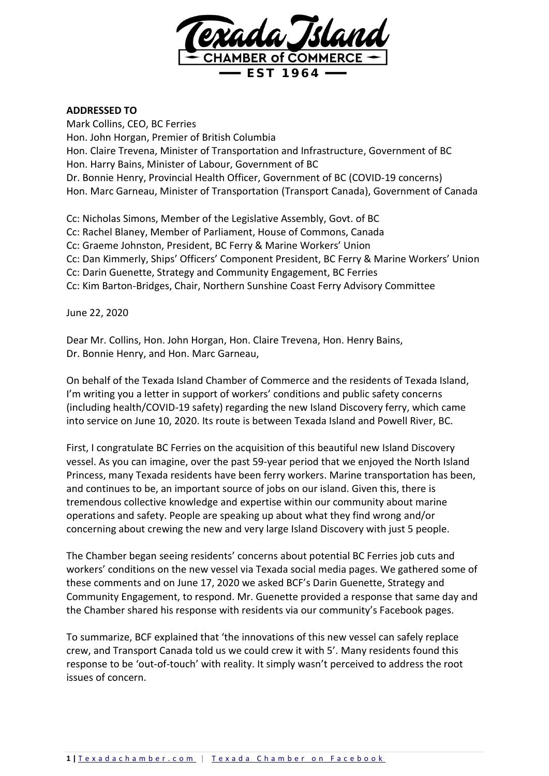

## **ADDRESSED TO**

Mark Collins, CEO, BC Ferries Hon. John Horgan, Premier of British Columbia Hon. Claire Trevena, Minister of Transportation and Infrastructure, Government of BC Hon. Harry Bains, Minister of Labour, Government of BC Dr. Bonnie Henry, Provincial Health Officer, Government of BC (COVID-19 concerns) Hon. Marc Garneau, Minister of Transportation (Transport Canada), Government of Canada

Cc: Nicholas Simons, Member of the Legislative Assembly, Govt. of BC Cc: Rachel Blaney, Member of Parliament, House of Commons, Canada Cc: Graeme Johnston, President, BC Ferry & Marine Workers' Union Cc: Dan Kimmerly, Ships' Officers' Component President, BC Ferry & Marine Workers' Union Cc: Darin Guenette, Strategy and Community Engagement, BC Ferries Cc: Kim Barton-Bridges, Chair, Northern Sunshine Coast Ferry Advisory Committee

June 22, 2020

Dear Mr. Collins, Hon. John Horgan, Hon. Claire Trevena, Hon. Henry Bains, Dr. Bonnie Henry, and Hon. Marc Garneau,

On behalf of the Texada Island Chamber of Commerce and the residents of Texada Island, I'm writing you a letter in support of workers' conditions and public safety concerns (including health/COVID-19 safety) regarding the new Island Discovery ferry, which came into service on June 10, 2020. Its route is between Texada Island and Powell River, BC.

First, I congratulate BC Ferries on the acquisition of this beautiful new Island Discovery vessel. As you can imagine, over the past 59-year period that we enjoyed the North Island Princess, many Texada residents have been ferry workers. Marine transportation has been, and continues to be, an important source of jobs on our island. Given this, there is tremendous collective knowledge and expertise within our community about marine operations and safety. People are speaking up about what they find wrong and/or concerning about crewing the new and very large Island Discovery with just 5 people.

The Chamber began seeing residents' concerns about potential BC Ferries job cuts and workers' conditions on the new vessel via Texada social media pages. We gathered some of these comments and on June 17, 2020 we asked BCF's Darin Guenette, Strategy and Community Engagement, to respond. Mr. Guenette provided a response that same day and the Chamber shared his response with residents via our community's Facebook pages.

To summarize, BCF explained that 'the innovations of this new vessel can safely replace crew, and Transport Canada told us we could crew it with 5'. Many residents found this response to be 'out-of-touch' with reality. It simply wasn't perceived to address the root issues of concern.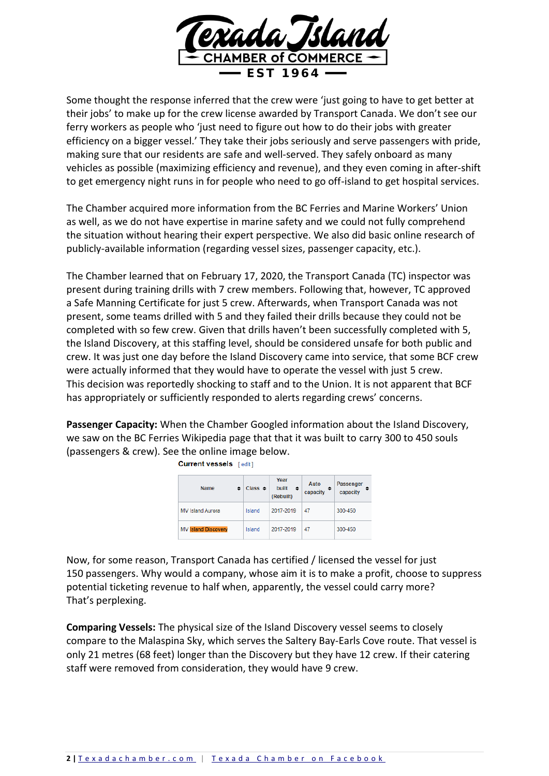

Some thought the response inferred that the crew were 'just going to have to get better at their jobs' to make up for the crew license awarded by Transport Canada. We don't see our ferry workers as people who 'just need to figure out how to do their jobs with greater efficiency on a bigger vessel.' They take their jobs seriously and serve passengers with pride, making sure that our residents are safe and well-served. They safely onboard as many vehicles as possible (maximizing efficiency and revenue), and they even coming in after-shift to get emergency night runs in for people who need to go off-island to get hospital services.

The Chamber acquired more information from the BC Ferries and Marine Workers' Union as well, as we do not have expertise in marine safety and we could not fully comprehend the situation without hearing their expert perspective. We also did basic online research of publicly-available information (regarding vessel sizes, passenger capacity, etc.).

The Chamber learned that on February 17, 2020, the Transport Canada (TC) inspector was present during training drills with 7 crew members. Following that, however, TC approved a Safe Manning Certificate for just 5 crew. Afterwards, when Transport Canada was not present, some teams drilled with 5 and they failed their drills because they could not be completed with so few crew. Given that drills haven't been successfully completed with 5, the Island Discovery, at this staffing level, should be considered unsafe for both public and crew. It was just one day before the Island Discovery came into service, that some BCF crew were actually informed that they would have to operate the vessel with just 5 crew. This decision was reportedly shocking to staff and to the Union. It is not apparent that BCF has appropriately or sufficiently responded to alerts regarding crews' concerns.

**Passenger Capacity:** When the Chamber Googled information about the Island Discovery, we saw on the BC Ferries Wikipedia page that that it was built to carry 300 to 450 souls (passengers & crew). See the online image below.

|  | <b>Name</b><br>٠           | Class $\triangleq$ | Year<br>built<br>$\bullet$<br>(Rebuilt) | Auto<br>capacity | Passenger<br>capacity |
|--|----------------------------|--------------------|-----------------------------------------|------------------|-----------------------|
|  | <b>MV Island Aurora</b>    | Island             | 2017-2019                               | 47               | 300-450               |
|  | <b>MV Island Discovery</b> | Island             | 2017-2019                               | 47               | 300-450               |

**Current vessels** [edit]

Now, for some reason, Transport Canada has certified / licensed the vessel for just 150 passengers. Why would a company, whose aim it is to make a profit, choose to suppress potential ticketing revenue to half when, apparently, the vessel could carry more? That's perplexing.

**Comparing Vessels:** The physical size of the Island Discovery vessel seems to closely compare to the Malaspina Sky, which serves the Saltery Bay-Earls Cove route. That vessel is only 21 metres (68 feet) longer than the Discovery but they have 12 crew. If their catering staff were removed from consideration, they would have 9 crew.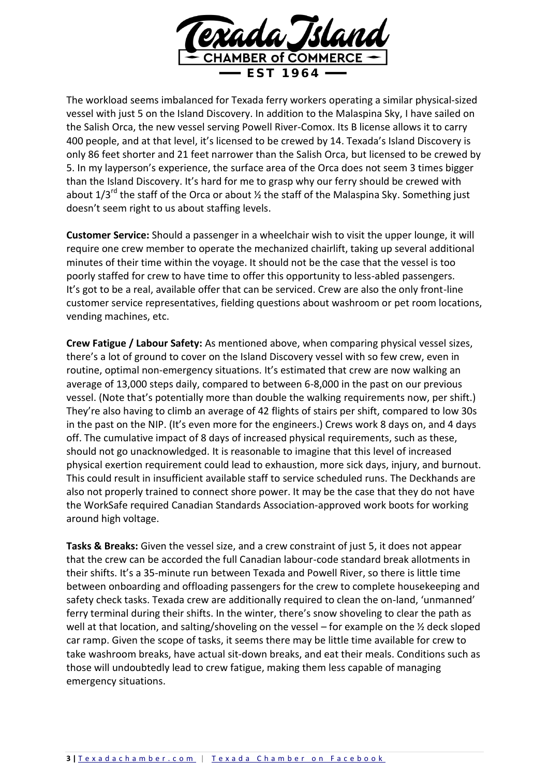

The workload seems imbalanced for Texada ferry workers operating a similar physical-sized vessel with just 5 on the Island Discovery. In addition to the Malaspina Sky, I have sailed on the Salish Orca, the new vessel serving Powell River-Comox. Its B license allows it to carry 400 people, and at that level, it's licensed to be crewed by 14. Texada's Island Discovery is only 86 feet shorter and 21 feet narrower than the Salish Orca, but licensed to be crewed by 5. In my layperson's experience, the surface area of the Orca does not seem 3 times bigger than the Island Discovery. It's hard for me to grasp why our ferry should be crewed with about  $1/3^{rd}$  the staff of the Orca or about  $\frac{1}{2}$  the staff of the Malaspina Sky. Something just doesn't seem right to us about staffing levels.

**Customer Service:** Should a passenger in a wheelchair wish to visit the upper lounge, it will require one crew member to operate the mechanized chairlift, taking up several additional minutes of their time within the voyage. It should not be the case that the vessel is too poorly staffed for crew to have time to offer this opportunity to less-abled passengers. It's got to be a real, available offer that can be serviced. Crew are also the only front-line customer service representatives, fielding questions about washroom or pet room locations, vending machines, etc.

**Crew Fatigue / Labour Safety:** As mentioned above, when comparing physical vessel sizes, there's a lot of ground to cover on the Island Discovery vessel with so few crew, even in routine, optimal non-emergency situations. It's estimated that crew are now walking an average of 13,000 steps daily, compared to between 6-8,000 in the past on our previous vessel. (Note that's potentially more than double the walking requirements now, per shift.) They're also having to climb an average of 42 flights of stairs per shift, compared to low 30s in the past on the NIP. (It's even more for the engineers.) Crews work 8 days on, and 4 days off. The cumulative impact of 8 days of increased physical requirements, such as these, should not go unacknowledged. It is reasonable to imagine that this level of increased physical exertion requirement could lead to exhaustion, more sick days, injury, and burnout. This could result in insufficient available staff to service scheduled runs. The Deckhands are also not properly trained to connect shore power. It may be the case that they do not have the WorkSafe required Canadian Standards Association-approved work boots for working around high voltage.

**Tasks & Breaks:** Given the vessel size, and a crew constraint of just 5, it does not appear that the crew can be accorded the full Canadian labour-code standard break allotments in their shifts. It's a 35-minute run between Texada and Powell River, so there is little time between onboarding and offloading passengers for the crew to complete housekeeping and safety check tasks. Texada crew are additionally required to clean the on-land, 'unmanned' ferry terminal during their shifts. In the winter, there's snow shoveling to clear the path as well at that location, and salting/shoveling on the vessel – for example on the  $\frac{1}{2}$  deck sloped car ramp. Given the scope of tasks, it seems there may be little time available for crew to take washroom breaks, have actual sit-down breaks, and eat their meals. Conditions such as those will undoubtedly lead to crew fatigue, making them less capable of managing emergency situations.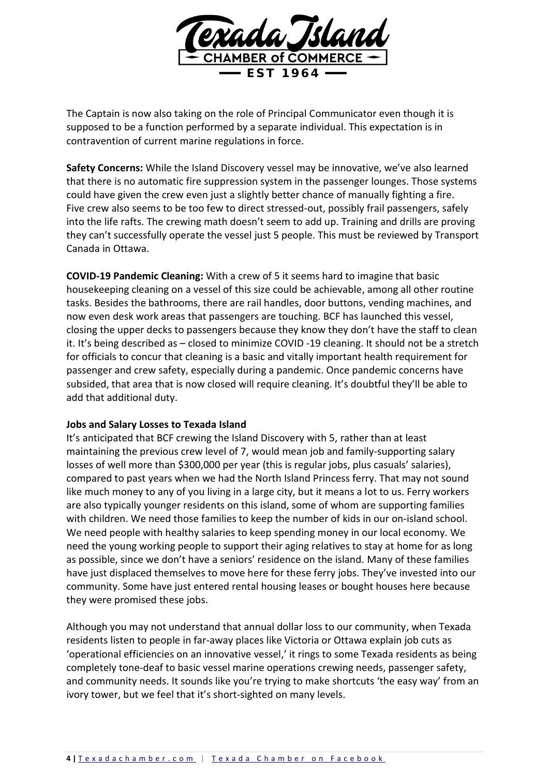

The Captain is now also taking on the role of Principal Communicator even though it is supposed to be a function performed by a separate individual. This expectation is in contravention of current marine regulations in force.

**Safety Concerns:** While the Island Discovery vessel may be innovative, we've also learned that there is no automatic fire suppression system in the passenger lounges. Those systems could have given the crew even just a slightly better chance of manually fighting a fire. Five crew also seems to be too few to direct stressed-out, possibly frail passengers, safely into the life rafts. The crewing math doesn't seem to add up. Training and drills are proving they can't successfully operate the vessel just 5 people. This must be reviewed by Transport Canada in Ottawa.

**COVID-19 Pandemic Cleaning:** With a crew of 5 it seems hard to imagine that basic housekeeping cleaning on a vessel of this size could be achievable, among all other routine tasks. Besides the bathrooms, there are rail handles, door buttons, vending machines, and now even desk work areas that passengers are touching. BCF has launched this vessel, closing the upper decks to passengers because they know they don't have the staff to clean it. It's being described as – closed to minimize COVID -19 cleaning. It should not be a stretch for officials to concur that cleaning is a basic and vitally important health requirement for passenger and crew safety, especially during a pandemic. Once pandemic concerns have subsided, that area that is now closed will require cleaning. It's doubtful they'll be able to add that additional duty.

## **Jobs and Salary Losses to Texada Island**

It's anticipated that BCF crewing the Island Discovery with 5, rather than at least maintaining the previous crew level of 7, would mean job and family-supporting salary losses of well more than \$300,000 per year (this is regular jobs, plus casuals' salaries), compared to past years when we had the North Island Princess ferry. That may not sound like much money to any of you living in a large city, but it means a lot to us. Ferry workers are also typically younger residents on this island, some of whom are supporting families with children. We need those families to keep the number of kids in our on-island school. We need people with healthy salaries to keep spending money in our local economy. We need the young working people to support their aging relatives to stay at home for as long as possible, since we don't have a seniors' residence on the island. Many of these families have just displaced themselves to move here for these ferry jobs. They've invested into our community. Some have just entered rental housing leases or bought houses here because they were promised these jobs.

Although you may not understand that annual dollar loss to our community, when Texada residents listen to people in far-away places like Victoria or Ottawa explain job cuts as 'operational efficiencies on an innovative vessel,' it rings to some Texada residents as being completely tone-deaf to basic vessel marine operations crewing needs, passenger safety, and community needs. It sounds like you're trying to make shortcuts 'the easy way' from an ivory tower, but we feel that it's short-sighted on many levels.